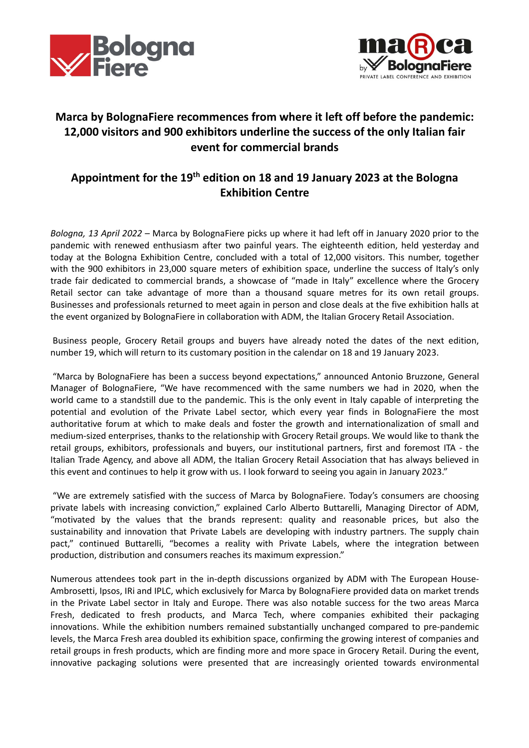



## **Marca by BolognaFiere recommences from where it left off before the pandemic: 12,000 visitors and 900 exhibitors underline the success of the only Italian fair event for commercial brands**

## **Appointment for the 19th edition on 18 and 19 January 2023 at the Bologna Exhibition Centre**

*Bologna, 13 April 2022* – Marca by BolognaFiere picks up where it had left off in January 2020 prior to the pandemic with renewed enthusiasm after two painful years. The eighteenth edition, held yesterday and today at the Bologna Exhibition Centre, concluded with a total of 12,000 visitors. This number, together with the 900 exhibitors in 23,000 square meters of exhibition space, underline the success of Italy's only trade fair dedicated to commercial brands, a showcase of "made in Italy" excellence where the Grocery Retail sector can take advantage of more than a thousand square metres for its own retail groups. Businesses and professionals returned to meet again in person and close deals at the five exhibition halls at the event organized by BolognaFiere in collaboration with ADM, the Italian Grocery Retail Association.

 Business people, Grocery Retail groups and buyers have already noted the dates of the next edition, number 19, which will return to its customary position in the calendar on 18 and 19 January 2023.

 "Marca by BolognaFiere has been a success beyond expectations," announced Antonio Bruzzone, General Manager of BolognaFiere, "We have recommenced with the same numbers we had in 2020, when the world came to a standstill due to the pandemic. This is the only event in Italy capable of interpreting the potential and evolution of the Private Label sector, which every year finds in BolognaFiere the most authoritative forum at which to make deals and foster the growth and internationalization of small and medium-sized enterprises, thanks to the relationship with Grocery Retail groups. We would like to thank the retail groups, exhibitors, professionals and buyers, our institutional partners, first and foremost ITA - the Italian Trade Agency, and above all ADM, the Italian Grocery Retail Association that has always believed in this event and continues to help it grow with us. I look forward to seeing you again in January 2023."

 "We are extremely satisfied with the success of Marca by BolognaFiere. Today's consumers are choosing private labels with increasing conviction," explained Carlo Alberto Buttarelli, Managing Director of ADM, "motivated by the values that the brands represent: quality and reasonable prices, but also the sustainability and innovation that Private Labels are developing with industry partners. The supply chain pact," continued Buttarelli, "becomes a reality with Private Labels, where the integration between production, distribution and consumers reaches its maximum expression."

Numerous attendees took part in the in-depth discussions organized by ADM with The European House-Ambrosetti, Ipsos, IRi and IPLC, which exclusively for Marca by BolognaFiere provided data on market trends in the Private Label sector in Italy and Europe. There was also notable success for the two areas Marca Fresh, dedicated to fresh products, and Marca Tech, where companies exhibited their packaging innovations. While the exhibition numbers remained substantially unchanged compared to pre-pandemic levels, the Marca Fresh area doubled its exhibition space, confirming the growing interest of companies and retail groups in fresh products, which are finding more and more space in Grocery Retail. During the event, innovative packaging solutions were presented that are increasingly oriented towards environmental